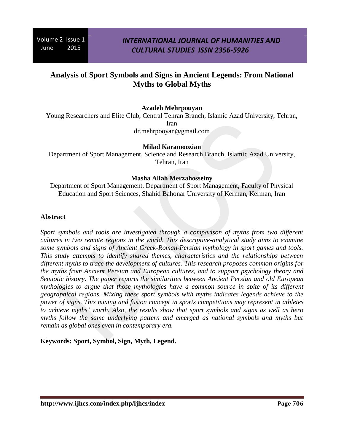# **Analysis of Sport Symbols and Signs in Ancient Legends: From National Myths to Global Myths**

## **Azadeh Mehrpouyan**

Young Researchers and Elite Club, Central Tehran Branch, Islamic Azad University, Tehran, Iran dr.mehrpooyan@gmail.com

### **Milad Karamoozian**

Department of Sport Management, Science and Research Branch, Islamic Azad University, Tehran, Iran

## **Masha Allah Merzahosseiny**

Department of Sport Management, Department of Sport Management, Faculty of Physical Education and Sport Sciences, Shahid Bahonar University of Kerman, Kerman, Iran

### **Abstract**

*Sport symbols and tools are investigated through a comparison of myths from two different cultures in two remote regions in the world. This descriptive-analytical study aims to examine some symbols and signs of Ancient Greek-Roman-Persian mythology in sport games and tools. This study attempts to identify shared themes, characteristics and the relationships between different myths to trace the development of cultures. This research proposes common origins for the myths from Ancient Persian and European cultures, and to support psychology theory and Semiotic history. The paper reports the similarities between Ancient Persian and old European mythologies to argue that those mythologies have a common source in spite of its different geographical regions. Mixing these sport symbols with myths indicates legends achieve to the power of signs. This mixing and fusion concept in sports competitions may represent in athletes to achieve myths' worth. Also, the results show that sport symbols and signs as well as hero myths follow the same underlying pattern and emerged as national symbols and myths but remain as global ones even in contemporary era.*

### **Keywords: Sport, Symbol, Sign, Myth, Legend.**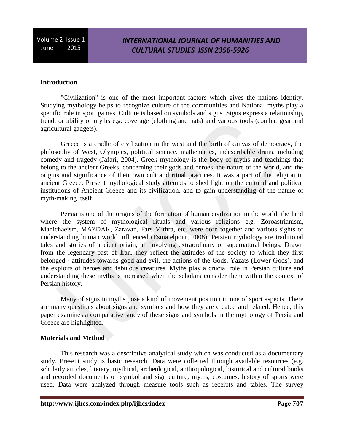# *INTERNATIONAL JOURNAL OF HUMANITIES AND CULTURAL STUDIES ISSN 2356-5926*

### **Introduction**

"Civilization" is one of the most important factors which gives the nations identity. Studying mythology helps to recognize culture of the communities and National myths play a specific role in sport games. Culture is based on symbols and signs. Signs express a relationship, trend, or ability of myths e.g. coverage (clothing and hats) and various tools (combat gear and agricultural gadgets).

Greece is a cradle of civilization in the west and the birth of canvas of democracy, the philosophy of West, Olympics, political science, mathematics, indescribable drama including comedy and tragedy (Jafari, 2004). Greek mythology is the body of myths and teachings that belong to the ancient Greeks, concerning their gods and heroes, the nature of the world, and the origins and significance of their own cult and ritual practices. It was a part of the religion in ancient Greece. Present mythological study attempts to shed light on the cultural and political institutions of Ancient Greece and its civilization, and to gain understanding of the nature of myth-making itself.

Persia is one of the origins of the formation of human civilization in the world, the land where the system of mythological rituals and various religions e.g. Zoroastrianism, Manichaeism, MAZDAK, Zaravan, Fars Mithra, etc. were born together and various sights of understanding human world influenced (Esmaielpour, 2008). Persian mythology are traditional tales and stories of ancient origin, all involving extraordinary or supernatural beings. Drawn from the legendary past of Iran, they reflect the attitudes of the society to which they first belonged - attitudes towards good and evil, the actions of the Gods, Yazats (Lower Gods), and the exploits of heroes and fabulous creatures. Myths play a crucial role in Persian culture and understanding these myths is increased when the scholars consider them within the context of Persian history.

Many of signs in myths pose a kind of movement position in one of sport aspects. There are many questions about signs and symbols and how they are created and related. Hence, this paper examines a comparative study of these signs and symbols in the mythology of Persia and Greece are highlighted.

#### **Materials and Method**

This research was a descriptive analytical study which was conducted as a documentary study. Present study is basic research. Data were collected through available resources (e.g. scholarly articles, literary, mythical, archeological, anthropological, historical and cultural books and recorded documents on symbol and sign culture, myths, costumes, history of sports were used. Data were analyzed through measure tools such as receipts and tables. The survey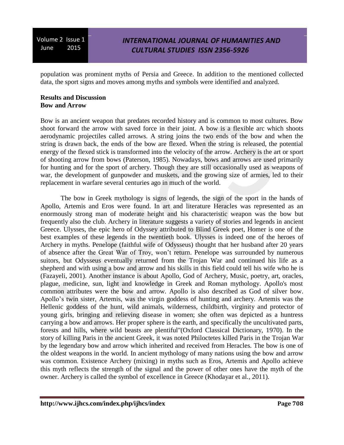## *INTERNATIONAL JOURNAL OF HUMANITIES AND CULTURAL STUDIES ISSN 2356-5926*

population was prominent myths of Persia and Greece. In addition to the mentioned collected data, the sport signs and moves among myths and symbols were identified and analyzed.

## **Results and Discussion Bow and Arrow**

Bow is an ancient weapon that predates recorded history and is common to most cultures. Bow shoot forward the arrow with saved force in their joint. A bow is a flexible arc which shoots aerodynamic projectiles called arrows. A string joins the two ends of the bow and when the string is drawn back, the ends of the bow are flexed. When the string is released, the potential energy of the flexed stick is transformed into the velocity of the arrow. Archery is the art or sport of shooting arrow from bows (Paterson, 1985). Nowadays, bows and arrows are used primarily for hunting and for the sport of archery. Though they are still occasionally used as weapons of war, the development of gunpowder and muskets, and the growing size of armies, led to their replacement in warfare several centuries ago in much of the world.

The bow in Greek mythology is signs of legends, the sign of the sport in the hands of Apollo, Artemis and Eros were found. In art and literature Heracles was represented as an enormously strong man of moderate height and his characteristic weapon was the bow but frequently also the club. Archery in literature suggests a variety of stories and legends in ancient Greece. Ulysses, the epic hero of Odyssey attributed to Blind Greek poet, Homer is one of the best examples of these legends in the twentieth book. Ulysses is indeed one of the heroes of Archery in myths. Penelope (faithful wife of Odysseus) thought that her husband after 20 years of absence after the Great War of Troy, won't return. Penelope was surrounded by numerous suitors, but Odysseus eventually returned from the Trojan War and continued his life as a shepherd and with using a bow and arrow and his skills in this field could tell his wife who he is (Fazayeli, 2001). Another instance is about Apollo, God of Archery, Music, poetry, art, oracles, plague, medicine, sun, light and knowledge in Greek and Roman mythology. Apollo's most common attributes were the bow and arrow. Apollo is also described as God of silver bow. Apollo's twin sister, Artemis, was the virgin goddess of hunting and archery. Artemis was the Hellenic goddess of the hunt, wild animals, wilderness, childbirth, virginity and protector of young girls, bringing and relieving disease in women; she often was depicted as a huntress carrying a bow and arrows. Her proper sphere is the earth, and specifically the uncultivated parts, forests and hills, where wild beasts are plentiful"(Oxford Classical Dictionary, 1970). In the story of killing Paris in the ancient Greek, it was noted Philoctetes killed Paris in the Trojan War by the legendary bow and arrow which inherited and received from Heracles. The bow is one of the oldest weapons in the world. In ancient mythology of many nations using the bow and arrow was common. Existence Archery (mixing) in myths such as Eros, Artemis and Apollo achieve this myth reflects the strength of the signal and the power of other ones have the myth of the owner. Archery is called the symbol of excellence in Greece (Khodayar et al., 2011).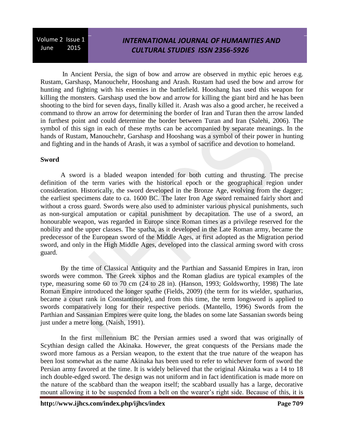# *INTERNATIONAL JOURNAL OF HUMANITIES AND CULTURAL STUDIES ISSN 2356-5926*

In Ancient Persia, the sign of bow and arrow are observed in mythic epic heroes e.g. Rustam, Garshasp, Manouchehr, Hooshang and Arash. Rustam had used the bow and arrow for hunting and fighting with his enemies in the battlefield. Hooshang has used this weapon for killing the monsters. Garshasp used the bow and arrow for killing the giant bird and he has been shooting to the bird for seven days, finally killed it. Arash was also a good archer, he received a command to throw an arrow for determining the border of Iran and Turan then the arrow landed in furthest point and could determine the border between Turan and Iran (Salehi, 2006). The symbol of this sign in each of these myths can be accompanied by separate meanings. In the hands of Rustam, Manouchehr, Garshasp and Hooshang was a symbol of their power in hunting and fighting and in the hands of Arash, it was a symbol of sacrifice and devotion to homeland.

### **Sword**

A sword is a bladed weapon intended for both cutting and thrusting. The precise definition of the term varies with the historical epoch or the geographical region under consideration. Historically, the sword developed in the Bronze Age, evolving from the dagger; the earliest specimens date to ca. 1600 BC. The later Iron Age sword remained fairly short and without a cross guard. Swords were also used to administer various physical punishments, such as non-surgical amputation or capital punishment by decapitation. The use of a sword, an honourable weapon, was regarded in Europe since Roman times as a privilege reserved for the nobility and the upper classes. The spatha, as it developed in the Late Roman army, became the predecessor of the European sword of the Middle Ages, at first adopted as the Migration period sword, and only in the High Middle Ages, developed into the classical arming sword with cross guard.

By the time of Classical Antiquity and the Parthian and Sassanid Empires in Iran, iron swords were common. The Greek xiphos and the Roman gladius are typical examples of the type, measuring some 60 to 70 cm (24 to 28 in). (Hanson, 1993; Goldsworthy, 1998) The late Roman Empire introduced the longer spathe (Fields, 2009) (the term for its wielder, spatharius, became a court rank in Constantinople), and from this time, the term longsword is applied to swords comparatively long for their respective periods. (Mantello, 1996) Swords from the Parthian and Sassanian Empires were quite long, the blades on some late Sassanian swords being just under a metre long. (Naish, 1991).

In the first millennium BC the Persian armies used a sword that was originally of Scythian design called the Akinaka. However, the great conquests of the Persians made the sword more famous as a Persian weapon, to the extent that the true nature of the weapon has been lost somewhat as the name Akinaka has been used to refer to whichever form of sword the Persian army favored at the time. It is widely believed that the original Akinaka was a 14 to 18 inch double-edged sword. The design was not uniform and in fact identification is made more on the nature of the scabbard than the weapon itself; the scabbard usually has a large, decorative mount allowing it to be suspended from a belt on the wearer's right side. Because of this, it is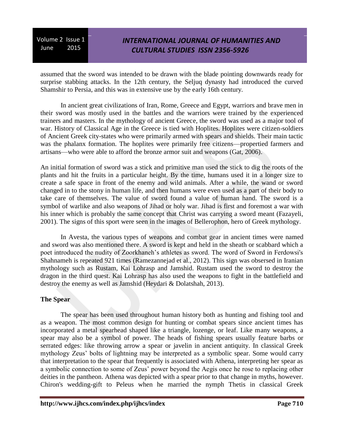# *INTERNATIONAL JOURNAL OF HUMANITIES AND CULTURAL STUDIES ISSN 2356-5926*

assumed that the sword was intended to be drawn with the blade pointing downwards ready for surprise stabbing attacks. In the 12th century, the Seljuq dynasty had introduced the curved Shamshir to Persia, and this was in extensive use by the early 16th century.

In ancient great civilizations of Iran, Rome, Greece and Egypt, warriors and brave men in their sword was mostly used in the battles and the warriors were trained by the experienced trainers and masters. In the mythology of ancient Greece, the sword was used as a major tool of war. History of Classical Age in the Greece is tied with Hoplites. Hoplites were citizen-soldiers of Ancient Greek city-states who were primarily armed with spears and shields. Their main tactic was the phalanx formation. The hoplites were primarily free citizens—propertied farmers and artisans—who were able to afford the bronze armor suit and weapons (Gat, 2006).

An initial formation of sword was a stick and primitive man used the stick to dig the roots of the plants and hit the fruits in a particular height. By the time, humans used it in a longer size to create a safe space in front of the enemy and wild animals. After a while, the wand or sword changed in to the stony in human life, and then humans were even used as a part of their body to take care of themselves. The value of sword found a value of human hand. The sword is a symbol of warlike and also weapons of Jihad or holy war. Jihad is first and foremost a war with his inner which is probably the same concept that Christ was carrying a sword meant (Fazayeli, 2001). The signs of this sport were seen in the images of Bellerophon, hero of Greek mythology.

In Avesta, the various types of weapons and combat gear in ancient times were named and sword was also mentioned there. A sword is kept and held in the sheath or scabbard which a poet introduced the nudity of Zoorkhaneh's athletes as sword. The word of Sword in Ferdowsi's Shahnameh is repeated 921 times (Ramezannejad et al., 2012). This sign was obsersed in Iranian mythology such as Rustam, Kai Lohrasp and Jamshid. Rustam used the sword to destroy the dragon in the third quest. Kai Lohrasp has also used the weapons to fight in the battlefield and destroy the enemy as well as Jamshid (Heydari & Dolatshah, 2013).

## **The Spear**

The spear has been used throughout human history both as hunting and fishing tool and as a weapon. The most common design for hunting or combat spears since ancient times has incorporated a metal spearhead shaped like a triangle, lozenge, or leaf. Like many weapons, a spear may also be a symbol of power. The heads of fishing spears usually feature barbs or serrated edges: like throwing arrow a spear or javelin in ancient antiquity. In classical Greek mythology Zeus' bolts of lightning may be interpreted as a symbolic spear. Some would carry that interpretation to the spear that frequently is associated with Athena, interpreting her spear as a symbolic connection to some of Zeus' power beyond the Aegis once he rose to replacing other deities in the pantheon. Athena was depicted with a spear prior to that change in myths, however. Chiron's wedding-gift to Peleus when he married the nymph Thetis in classical Greek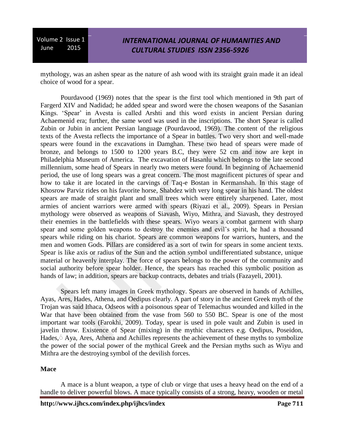## *INTERNATIONAL JOURNAL OF HUMANITIES AND CULTURAL STUDIES ISSN 2356-5926*

mythology, was an ashen spear as the nature of ash wood with its straight grain made it an ideal choice of wood for a spear.

Pourdavood (1969) notes that the spear is the first tool which mentioned in 9th part of Fargerd XIV and Nadidad; he added spear and sword were the chosen weapons of the Sasanian Kings. 'Spear' in Avesta is called Arshti and this word exists in ancient Persian during Achaemenid era; further, the same word was used in the inscriptions. The short Spear is called Zubin or Jubin in ancient Persian language (Pourdavood, 1969). The content of the religious texts of the Avesta reflects the importance of a Spear in battles. Two very short and well-made spears were found in the excavations in Damghan. These two head of spears were made of bronze, and belongs to 1500 to 1200 years B.C, they were 52 cm and now are kept in Philadelphia Museum of America. The excavation of Hasanlu which belongs to the late second millennium, some head of Spears in nearly two meters were found. In beginning of Achaemenid period, the use of long spears was a great concern. The most magnificent pictures of spear and how to take it are located in the carvings of Taq-e Bostan in Kermanshah. In this stage of Khosrow Parviz rides on his favorite horse, Shabdez with very long spear in his hand. The oldest spears are made of straight plant and small trees which were entirely sharpened. Later, most armies of ancient warriors were armed with spears (Riyazi et al., 2009). Spears in Persian mythology were observed as weapons of Siavash, Wiyo, Mithra, and Siavash, they destroyed their enemies in the battlefields with these spears. Wiyo wears a combat garment with sharp spear and some golden weapons to destroy the enemies and evil's spirit, he had a thousand spears while riding on his chariot. Spears are common weapons for warriors, hunters, and the men and women Gods. Pillars are considered as a sort of twin for spears in some ancient texts. Spear is like axis or radius of the Sun and the action symbol undifferentiated substance, unique material or heavenly interplay. The force of spears belongs to the power of the community and social authority before spear holder. Hence, the spears has reached this symbolic position as hands of law; in addition, spears are backup contracts, debates and trials (Fazayeli, 2001).

Spears left many images in Greek mythology. Spears are observed in hands of Achilles, Ayas, Ares, Hades, Athena, and Oedipus clearly. A part of story in the ancient Greek myth of the Trojan was said Ithaca, Odseos with a poisonous spear of Telemachus wounded and killed in the War that have been obtained from the vase from 560 to 550 BC. Spear is one of the most important war tools (Farokhi, 2009). Today, spear is used in pole vault and Zubin is used in javelin throw. Existence of Spear (mixing) in the mythic characters e.g. Oedipus, Poseidon, Hades, Aya, Ares, Athena and Achilles represents the achievement of these myths to symbolize the power of the social power of the mythical Greek and the Persian myths such as Wiyu and Mithra are the destroying symbol of the devilish forces.

## **Mace**

A mace is a blunt weapon, a type of club or virge that uses a heavy head on the end of a handle to deliver powerful blows. A mace typically consists of a strong, heavy, wooden or metal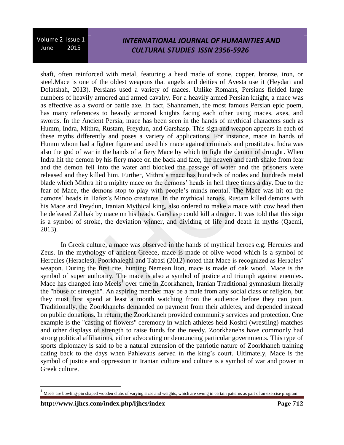# *INTERNATIONAL JOURNAL OF HUMANITIES AND CULTURAL STUDIES ISSN 2356-5926*

shaft, often reinforced with metal, featuring a head made of stone, copper, bronze, iron, or steel.Mace is one of the oldest weapons that angels and deities of Avesta use it (Heydari and Dolatshah, 2013). Persians used a variety of maces. Unlike Romans, Persians fielded large numbers of heavily armored and armed cavalry. For a heavily armed Persian knight, a mace was as effective as a sword or battle axe. In fact, Shahnameh, the most famous Persian epic poem, has many references to heavily armored knights facing each other using maces, axes, and swords. In the Ancient Persia, mace has been seen in the hands of mythical characters such as Humm, Indra, Mithra, Rustam, Freydun, and Garshasp. This sign and weapon appears in each of these myths differently and poses a variety of applications. For instance, mace in hands of Humm whom had a fighter figure and used his mace against criminals and prostitutes. Indra was also the god of war in the hands of a fiery Mace by which to fight the demon of drought. When Indra hit the demon by his fiery mace on the back and face, the heaven and earth shake from fear and the demon fell into the water and blocked the passage of water and the prisoners were released and they killed him. Further, Mithra's mace has hundreds of nodes and hundreds metal blade which Mithra hit a mighty mace on the demons' heads in hell three times a day. Due to the fear of Mace, the demons stop to play with people's minds mental. The Mace was hit on the demons' heads in Hafez's Minoo creatures. In the mythical heroes, Rustam killed demons with his Mace and Freydun, Iranian Mythical king, also ordered to make a mace with cow head then he defeated Zahhak by mace on his heads. Garshasp could kill a dragon. It was told that this sign is a symbol of stroke, the deviation winner, and dividing of life and death in myths (Qaemi, 2013).

In Greek culture, a mace was observed in the hands of mythical heroes e.g. Hercules and Zeus. In the mythology of ancient Greece, mace is made of olive wood which is a symbol of Hercules (Heracles). Poorkhaleghi and Tabasi (2012) noted that Mace is recognized as Heracles' weapon. During the first rite, hunting Nemean lion, mace is made of oak wood. Mace is the symbol of super authority. The mace is also a symbol of justice and triumph against enemies. Mace has changed into Meels<sup>1</sup> over time in Zoorkhaneh, Iranian Traditional gymnasium literally the "house of strength". An aspiring member may be a male from any social class or religion, but they must first spend at least a month watching from the audience before they can join. Traditionally, the Zoorkhanehs demanded no payment from their athletes, and depended instead on public donations. In return, the Zoorkhaneh provided community services and protection. One example is the "casting of flowers" ceremony in which athletes held Koshti (wrestling) matches and other displays of strength to raise funds for the needy. Zoorkhanehs have commonly had strong political affiliations, either advocating or denouncing particular governments. This type of sports diplomacy is said to be a natural extension of the patriotic nature of Zoorkhaneh training dating back to the days when Pahlevans served in the king's court. Ultimately, Mace is the symbol of justice and oppression in Iranian culture and culture is a symbol of war and power in Greek culture.

l

<sup>1</sup> Meels are bowling-pin shaped wooden clubs of varying sizes and weights, which are swung in certain patterns as part of an exercise program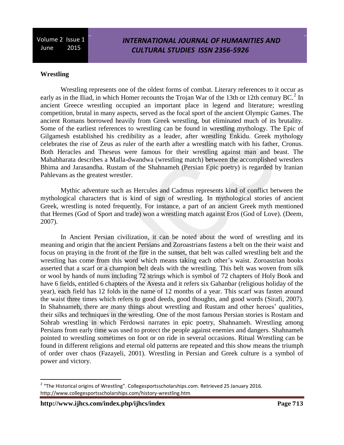## *INTERNATIONAL JOURNAL OF HUMANITIES AND CULTURAL STUDIES ISSN 2356-5926*

## **Wrestling**

Wrestling represents one of the oldest forms of combat. Literary references to it occur as early as in the Iliad, in which Homer recounts the Trojan War of the 13th or 12th century BC.<sup>2</sup> In ancient Greece wrestling occupied an important place in legend and literature; wrestling competition, brutal in many aspects, served as the focal sport of the ancient Olympic Games. The ancient Romans borrowed heavily from Greek wrestling, but eliminated much of its brutality. Some of the earliest references to wrestling can be found in wrestling mythology. The Epic of Gilgamesh established his credibility as a leader, after wrestling Enkidu. Greek mythology celebrates the rise of Zeus as ruler of the earth after a wrestling match with his father, Cronus. Both Heracles and Theseus were famous for their wrestling against man and beast. The Mahabharata describes a Malla-dwandwa (wrestling match) between the accomplished wrestlers Bhima and Jarasandha. Rustam of the Shahnameh (Persian Epic poetry) is regarded by Iranian Pahlevans as the greatest wrestler.

Mythic adventure such as Hercules and Cadmus represents kind of conflict between the mythological characters that is kind of sign of wrestling. In mythological stories of ancient Greek, wrestling is noted frequently. For instance, a part of an ancient Greek myth mentioned that Hermes (God of Sport and trade) won a wrestling match against Eros (God of Love). (Deem, 2007).

In Ancient Persian civilization, it can be noted about the word of wrestling and its meaning and origin that the ancient Persians and Zoroastrians fastens a belt on the their waist and focus on praying in the front of the fire in the sunset, that belt was called wrestling belt and the wrestling has come from this word which means taking each other's waist. Zoroastrian books asserted that a scarf or a champion belt deals with the wrestling. This belt was woven from silk or wool by hands of nuns including 72 strings which is symbol of 72 chapters of Holy Book and have 6 fields, entitled 6 chapters of the Avesta and it refers six Gahanbar (religious holiday of the year), each field has 12 folds in the name of 12 months of a year. This scarf was fasten around the waist three times which refers to good deeds, good thoughts, and good words (Sirafi, 2007). In Shahnameh, there are many things about wrestling and Rustam and other heroes' qualities, their silks and techniques in the wrestling. One of the most famous Persian stories is Rostam and Sohrab wrestling in which Ferdowsi narrates in epic poetry, Shahnameh. Wrestling among Persians from early time was used to protect the people against enemies and dangers. Shahnameh pointed to wrestling sometimes on foot or on ride in several occasions. Ritual Wrestling can be found in different religions and eternal old patterns are repeated and this show means the triumph of order over chaos (Fazayeli, 2001). Wrestling in Persian and Greek culture is a symbol of power and victory.

 2 "The Historical origins of Wrestling". Collegesportsscholarships.com. Retrieved 25 January 2016. http://www.collegesportsscholarships.com/history-wrestling.htm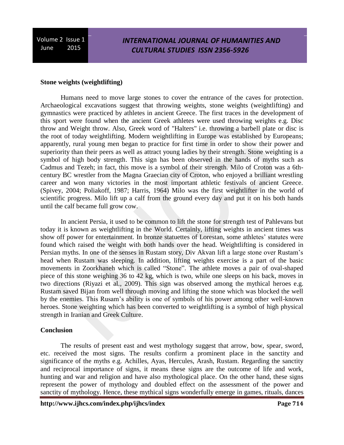## *INTERNATIONAL JOURNAL OF HUMANITIES AND CULTURAL STUDIES ISSN 2356-5926*

#### **Stone weights (weightlifting)**

Humans need to move large stones to cover the entrance of the caves for protection. Archaeological excavations suggest that throwing weights, stone weights (weightlifting) and gymnastics were practiced by athletes in ancient Greece. The first traces in the development of this sport were found when the ancient Greek athletes were used throwing weights e.g. Disc throw and Weight throw. Also, Greek word of "Halters" i.e. throwing a barbell plate or disc is the root of today weightlifting. Modern weightlifting in Europe was established by Europeans; apparently, rural young men began to practice for first time in order to show their power and superiority than their peers as well as attract young ladies by their strength. Stone weighting is a symbol of high body strength. This sign has been observed in the hands of myths such as Cadmus and Tezeh; in fact, this move is a symbol of their strength. Milo of Croton was a 6thcentury BC wrestler from the Magna Graecian city of Croton, who enjoyed a brilliant wrestling career and won many victories in the most important athletic festivals of ancient Greece. (Spivey, 2004; Poliakoff, 1987; Harris, 1964) Milo was the first weightlifter in the world of scientific progress. Milo lift up a calf from the ground every day and put it on his both hands until the calf became full grow cow.

In ancient Persia, it used to be common to lift the stone for strength test of Pahlevans but today it is known as weightlifting in the World. Certainly, lifting weights in ancient times was show off power for entertainment. In bronze statuettes of Lorestan, some athletes' statutes were found which raised the weight with both hands over the head. Weightlifting is considered in Persian myths. In one of the senses in Rustam story, Div Akvan lift a large stone over Rustam's head when Rustam was sleeping. In addition, lifting weights exercise is a part of the basic movements in Zoorkhaneh which is called "Stone". The athlete moves a pair of oval-shaped piece of this stone weighing 36 to 42 kg, which is two, while one sleeps on his back, moves in two directions (Riyazi et al., 2009). This sign was observed among the mythical heroes e.g. Rustam saved Bijan from well through moving and lifting the stone which was blocked the well by the enemies. This Rusam's ability is one of symbols of his power among other well-known heroes. Stone weighting which has been converted to weightlifting is a symbol of high physical strength in Iranian and Greek Culture.

### **Conclusion**

The results of present east and west mythology suggest that arrow, bow, spear, sword, etc. received the most signs. The results confirm a prominent place in the sanctity and significance of the myths e.g. Achilles, Ayas, Hercules, Arash, Rustam. Regarding the sanctity and reciprocal importance of signs, it means these signs are the outcome of life and work, hunting and war and religion and have also mythological place. On the other hand, these signs represent the power of mythology and doubled effect on the assessment of the power and sanctity of mythology. Hence, these mythical signs wonderfully emerge in games, rituals, dances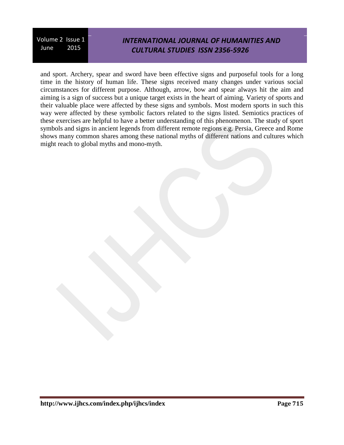# *INTERNATIONAL JOURNAL OF HUMANITIES AND CULTURAL STUDIES ISSN 2356-5926*

and sport. Archery, spear and sword have been effective signs and purposeful tools for a long time in the history of human life. These signs received many changes under various social circumstances for different purpose. Although, arrow, bow and spear always hit the aim and aiming is a sign of success but a unique target exists in the heart of aiming. Variety of sports and their valuable place were affected by these signs and symbols. Most modern sports in such this way were affected by these symbolic factors related to the signs listed. Semiotics practices of these exercises are helpful to have a better understanding of this phenomenon. The study of sport symbols and signs in ancient legends from different remote regions e.g. Persia, Greece and Rome shows many common shares among these national myths of different nations and cultures which might reach to global myths and mono-myth.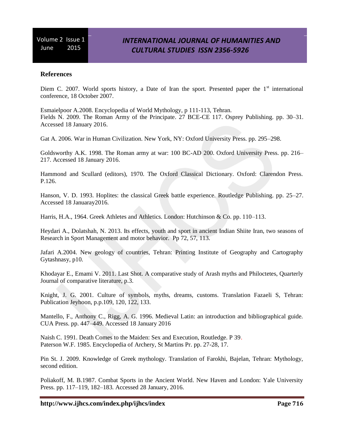#### **References**

Diem C. 2007. World sports history, a Date of Iran the sport. Presented paper the  $1<sup>st</sup>$  international conference, 18 October 2007.

Esmaielpoor A.2008. Encyclopedia of World Mythology, p 111-113, Tehran. Fields N. 2009. The Roman Army of the Principate. 27 BCE-CE 117. Osprey Publishing. pp. 30–31. Accessed 18 January 2016.

Gat A. 2006. War in Human Civilization. New York, NY: Oxford University Press. pp. 295–298.

Goldsworthy A.K. 1998. The Roman army at war: 100 BC-AD 200. Oxford University Press. pp. 216– 217. Accessed 18 January 2016.

Hammond and Scullard (editors), 1970. The Oxford Classical Dictionary. Oxford: Clarendon Press. P.126.

Hanson, V. D. 1993. Hoplites: the classical Greek battle experience. Routledge Publishing. pp. 25–27. Accessed 18 Januaray2016.

Harris, H.A., 1964. Greek Athletes and Athletics. London: Hutchinson & Co. pp. 110–113.

Heydari A., Dolatshah, N. 2013. Its effects, youth and sport in ancient Indian Shiite Iran, two seasons of Research in Sport Management and motor behavior. Pp 72, 57, 113.

Jafari A.2004. New geology of countries, Tehran: Printing Institute of Geography and Cartography Gytashnasy, p10.

Khodayar E., Emami V. 2011. Last Shot. A comparative study of Arash myths and Philoctetes, Quarterly Journal of comparative literature, p.3.

Knight, J. G. 2001. Culture of symbols, myths, dreams, customs. Translation Fazaeli S, Tehran: Publication Jeyhoon, p.p.109, 120, 122, 133.

Mantello, F., Anthony C., Rigg, A. G. 1996. Medieval Latin: an introduction and bibliographical guide. CUA Press. pp. 447–449. Accessed 18 January 2016

Naish C. 1991. Death Comes to the Maiden: Sex and Execution, Routledge. P 39. Paterson W.F. 1985. Encyclopedia of Archery, St Martins Pr. pp. 27-28, 17.

Pin St. J. 2009. Knowledge of Greek mythology. Translation of Farokhi, Bajelan, Tehran: Mythology, second edition.

Poliakoff, M. B.1987. Combat Sports in the Ancient World. New Haven and London: Yale University Press. pp. 117–119, 182–183. Accessed 28 January, 2016.

**http://www.ijhcs.com/index.php/ijhcs/index Page 716**